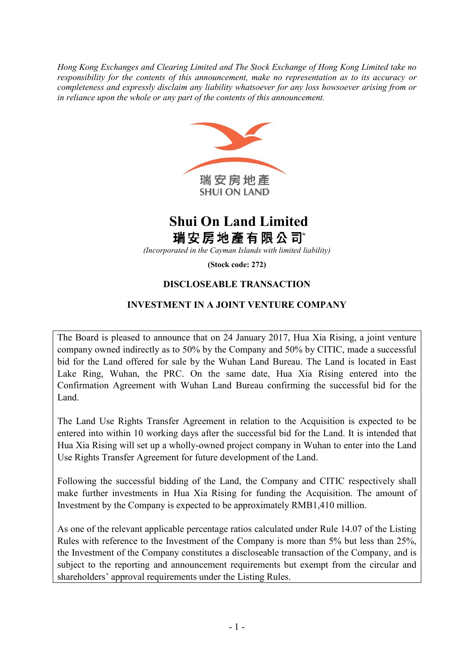*Hong Kong Exchanges and Clearing Limited and The Stock Exchange of Hong Kong Limited take no responsibility for the contents of this announcement, make no representation as to its accuracy or completeness and expressly disclaim any liability whatsoever for any loss howsoever arising from or in reliance upon the whole or any part of the contents of this announcement.*



# **Shui On Land Limited** 瑞安房地產有限公司

*(Incorporated in the Cayman Islands with limited liability)*

**(Stock code: 272)**

# **DISCLOSEABLE TRANSACTION**

## **INVESTMENT IN A JOINT VENTURE COMPANY**

The Board is pleased to announce that on 24 January 2017, Hua Xia Rising, a joint venture company owned indirectly as to 50% by the Company and 50% by CITIC, made a successful bid for the Land offered for sale by the Wuhan Land Bureau. The Land is located in East Lake Ring, Wuhan, the PRC. On the same date, Hua Xia Rising entered into the Confirmation Agreement with Wuhan Land Bureau confirming the successful bid for the Land.

The Land Use Rights Transfer Agreement in relation to the Acquisition is expected to be entered into within 10 working days after the successful bid for the Land. It is intended that Hua Xia Rising will set up a wholly-owned project company in Wuhan to enter into the Land Use Rights Transfer Agreement for future development of the Land.

Following the successful bidding of the Land, the Company and CITIC respectively shall make further investments in Hua Xia Rising for funding the Acquisition. The amount of Investment by the Company is expected to be approximately RMB1,410 million.

As one of the relevant applicable percentage ratios calculated under Rule 14.07 of the Listing Rules with reference to the Investment of the Company is more than 5% but less than 25%, the Investment of the Company constitutes a discloseable transaction of the Company, and is subject to the reporting and announcement requirements but exempt from the circular and shareholders' approval requirements under the Listing Rules.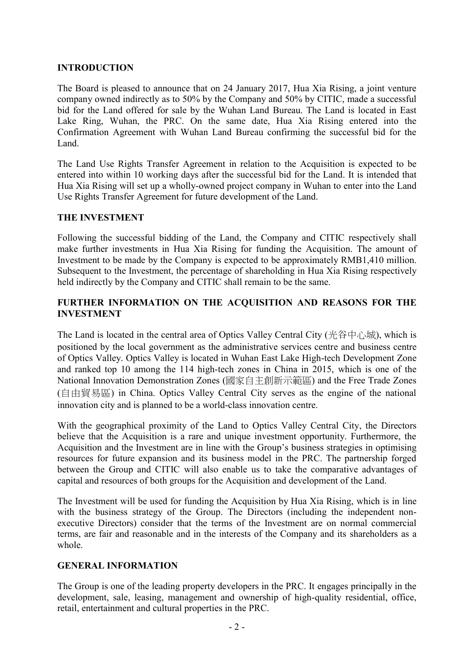#### **INTRODUCTION**

The Board is pleased to announce that on 24 January 2017, Hua Xia Rising, a joint venture company owned indirectly as to 50% by the Company and 50% by CITIC, made a successful bid for the Land offered for sale by the Wuhan Land Bureau. The Land is located in East Lake Ring, Wuhan, the PRC. On the same date, Hua Xia Rising entered into the Confirmation Agreement with Wuhan Land Bureau confirming the successful bid for the Land.

The Land Use Rights Transfer Agreement in relation to the Acquisition is expected to be entered into within 10 working days after the successful bid for the Land. It is intended that Hua Xia Rising will set up a wholly-owned project company in Wuhan to enter into the Land Use Rights Transfer Agreement for future development of the Land.

#### **THE INVESTMENT**

Following the successful bidding of the Land, the Company and CITIC respectively shall make further investments in Hua Xia Rising for funding the Acquisition. The amount of Investment to be made by the Company is expected to be approximately RMB1,410 million. Subsequent to the Investment, the percentage of shareholding in Hua Xia Rising respectively held indirectly by the Company and CITIC shall remain to be the same.

## **FURTHER INFORMATION ON THE ACQUISITION AND REASONS FOR THE INVESTMENT**

The Land is located in the central area of Optics Valley Central City (光谷中心城), which is positioned by the local government as the administrative services centre and business centre of Optics Valley. Optics Valley is located in Wuhan East Lake High-tech Development Zone and ranked top 10 among the 114 high-tech zones in China in 2015, which is one of the National Innovation Demonstration Zones (國家自主創新示範區) and the Free Trade Zones (自由貿易區) in China. Optics Valley Central City serves as the engine of the national innovation city and is planned to be a world-class innovation centre.

With the geographical proximity of the Land to Optics Valley Central City, the Directors believe that the Acquisition is a rare and unique investment opportunity. Furthermore, the Acquisition and the Investment are in line with the Group's business strategies in optimising resources for future expansion and its business model in the PRC. The partnership forged between the Group and CITIC will also enable us to take the comparative advantages of capital and resources of both groups for the Acquisition and development of the Land.

The Investment will be used for funding the Acquisition by Hua Xia Rising, which is in line with the business strategy of the Group. The Directors (including the independent nonexecutive Directors) consider that the terms of the Investment are on normal commercial terms, are fair and reasonable and in the interests of the Company and its shareholders as a whole.

## **GENERAL INFORMATION**

The Group is one of the leading property developers in the PRC. It engages principally in the development, sale, leasing, management and ownership of high-quality residential, office, retail, entertainment and cultural properties in the PRC.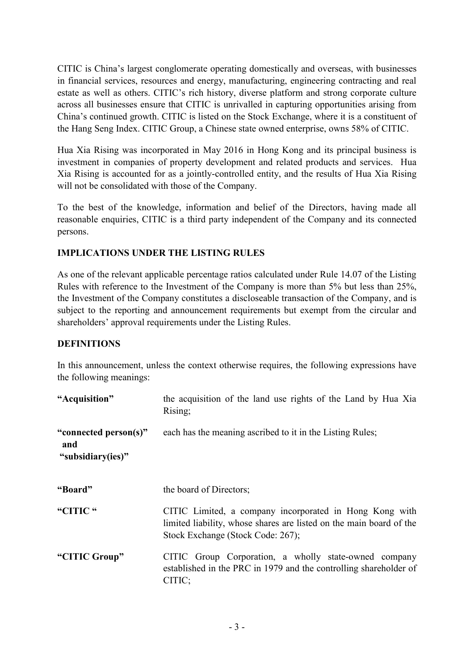CITIC is China's largest conglomerate operating domestically and overseas, with businesses in financial services, resources and energy, manufacturing, engineering contracting and real estate as well as others. CITIC's rich history, diverse platform and strong corporate culture across all businesses ensure that CITIC is unrivalled in capturing opportunities arising from China's continued growth. CITIC is listed on the Stock Exchange, where it is a constituent of the Hang Seng Index. CITIC Group, a Chinese state owned enterprise, owns 58% of CITIC.

Hua Xia Rising was incorporated in May 2016 in Hong Kong and its principal business is investment in companies of property development and related products and services. Hua Xia Rising is accounted for as a jointly-controlled entity, and the results of Hua Xia Rising will not be consolidated with those of the Company.

To the best of the knowledge, information and belief of the Directors, having made all reasonable enquiries, CITIC is a third party independent of the Company and its connected persons.

# **IMPLICATIONS UNDER THE LISTING RULES**

As one of the relevant applicable percentage ratios calculated under Rule 14.07 of the Listing Rules with reference to the Investment of the Company is more than 5% but less than 25%, the Investment of the Company constitutes a discloseable transaction of the Company, and is subject to the reporting and announcement requirements but exempt from the circular and shareholders' approval requirements under the Listing Rules.

## **DEFINITIONS**

In this announcement, unless the context otherwise requires, the following expressions have the following meanings:

| "Acquisition"                                     | the acquisition of the land use rights of the Land by Hua Xia<br>Rising;                                                                                            |
|---------------------------------------------------|---------------------------------------------------------------------------------------------------------------------------------------------------------------------|
| "connected person(s)"<br>and<br>"subsidiary(ies)" | each has the meaning ascribed to it in the Listing Rules;                                                                                                           |
| "Board"                                           | the board of Directors;                                                                                                                                             |
| "CITIC"                                           | CITIC Limited, a company incorporated in Hong Kong with<br>limited liability, whose shares are listed on the main board of the<br>Stock Exchange (Stock Code: 267); |
| "CITIC Group"                                     | CITIC Group Corporation, a wholly state-owned company<br>established in the PRC in 1979 and the controlling shareholder of<br>CITIC;                                |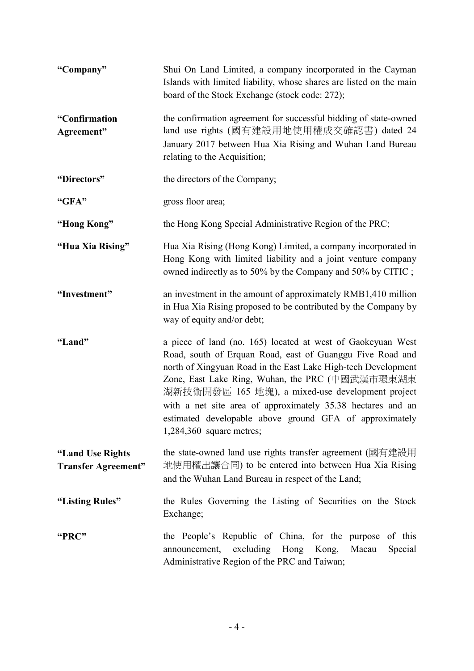| "Company"                                      | Shui On Land Limited, a company incorporated in the Cayman<br>Islands with limited liability, whose shares are listed on the main<br>board of the Stock Exchange (stock code: 272);                                                                                                                                                                                                                                                                      |
|------------------------------------------------|----------------------------------------------------------------------------------------------------------------------------------------------------------------------------------------------------------------------------------------------------------------------------------------------------------------------------------------------------------------------------------------------------------------------------------------------------------|
| "Confirmation<br>Agreement"                    | the confirmation agreement for successful bidding of state-owned<br>land use rights (國有建設用地使用權成交確認書) dated 24<br>January 2017 between Hua Xia Rising and Wuhan Land Bureau<br>relating to the Acquisition;                                                                                                                                                                                                                                               |
| "Directors"                                    | the directors of the Company;                                                                                                                                                                                                                                                                                                                                                                                                                            |
| "GFA"                                          | gross floor area;                                                                                                                                                                                                                                                                                                                                                                                                                                        |
| "Hong Kong"                                    | the Hong Kong Special Administrative Region of the PRC;                                                                                                                                                                                                                                                                                                                                                                                                  |
| "Hua Xia Rising"                               | Hua Xia Rising (Hong Kong) Limited, a company incorporated in<br>Hong Kong with limited liability and a joint venture company<br>owned indirectly as to 50% by the Company and 50% by CITIC;                                                                                                                                                                                                                                                             |
| "Investment"                                   | an investment in the amount of approximately RMB1,410 million<br>in Hua Xia Rising proposed to be contributed by the Company by<br>way of equity and/or debt;                                                                                                                                                                                                                                                                                            |
| "Land"                                         | a piece of land (no. 165) located at west of Gaokeyuan West<br>Road, south of Erquan Road, east of Guanggu Five Road and<br>north of Xingyuan Road in the East Lake High-tech Development<br>Zone, East Lake Ring, Wuhan, the PRC (中國武漢市環東湖東<br>湖新技術開發區 165 地塊), a mixed-use development project<br>with a net site area of approximately 35.38 hectares and an<br>estimated developable above ground GFA of approximately<br>$1,284,360$ square metres; |
| "Land Use Rights<br><b>Transfer Agreement"</b> | the state-owned land use rights transfer agreement (國有建設用<br>地使用權出讓合同) to be entered into between Hua Xia Rising<br>and the Wuhan Land Bureau in respect of the Land;                                                                                                                                                                                                                                                                                    |
| "Listing Rules"                                | the Rules Governing the Listing of Securities on the Stock<br>Exchange;                                                                                                                                                                                                                                                                                                                                                                                  |
| "PRC"                                          | the People's Republic of China, for the purpose of this<br>excluding<br>Hong Kong,<br>Macau<br>announcement,<br>Special<br>Administrative Region of the PRC and Taiwan;                                                                                                                                                                                                                                                                                  |